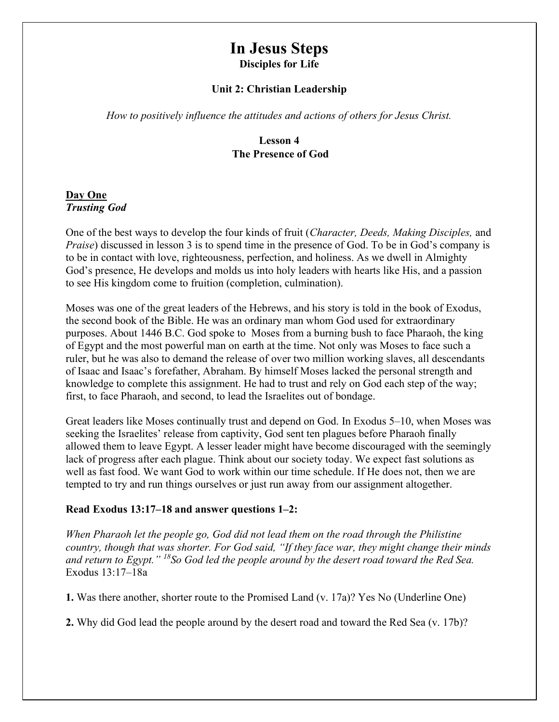# In Jesus Steps Disciples for Life

#### Unit 2: Christian Leadership

How to positively influence the attitudes and actions of others for Jesus Christ.

## Lesson 4 The Presence of God

## Day One Trusting God

One of the best ways to develop the four kinds of fruit (Character, Deeds, Making Disciples, and Praise) discussed in lesson 3 is to spend time in the presence of God. To be in God's company is to be in contact with love, righteousness, perfection, and holiness. As we dwell in Almighty God's presence, He develops and molds us into holy leaders with hearts like His, and a passion to see His kingdom come to fruition (completion, culmination).

Moses was one of the great leaders of the Hebrews, and his story is told in the book of Exodus, the second book of the Bible. He was an ordinary man whom God used for extraordinary purposes. About 1446 B.C. God spoke to Moses from a burning bush to face Pharaoh, the king of Egypt and the most powerful man on earth at the time. Not only was Moses to face such a ruler, but he was also to demand the release of over two million working slaves, all descendants of Isaac and Isaac's forefather, Abraham. By himself Moses lacked the personal strength and knowledge to complete this assignment. He had to trust and rely on God each step of the way; first, to face Pharaoh, and second, to lead the Israelites out of bondage.

Great leaders like Moses continually trust and depend on God. In Exodus 5–10, when Moses was seeking the Israelites' release from captivity, God sent ten plagues before Pharaoh finally allowed them to leave Egypt. A lesser leader might have become discouraged with the seemingly lack of progress after each plague. Think about our society today. We expect fast solutions as well as fast food. We want God to work within our time schedule. If He does not, then we are tempted to try and run things ourselves or just run away from our assignment altogether.

### Read Exodus 13:17–18 and answer questions 1–2:

When Pharaoh let the people go, God did not lead them on the road through the Philistine country, though that was shorter. For God said, "If they face war, they might change their minds and return to Egypt."  $^{18}$ So God led the people around by the desert road toward the Red Sea. Exodus 13:17–18a

1. Was there another, shorter route to the Promised Land (v. 17a)? Yes No (Underline One)

2. Why did God lead the people around by the desert road and toward the Red Sea (v. 17b)?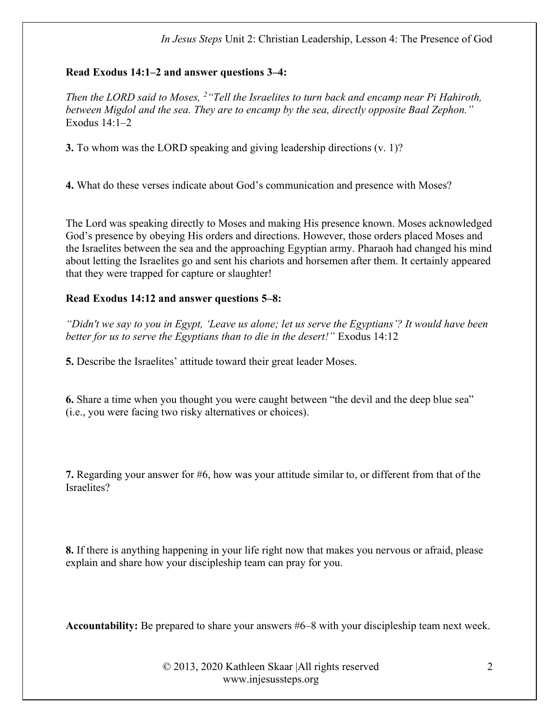#### In Jesus Steps Unit 2: Christian Leadership, Lesson 4: The Presence of God

#### Read Exodus 14:1–2 and answer questions 3–4:

Then the LORD said to Moses,  $2$  "Tell the Israelites to turn back and encamp near Pi Hahiroth, between Migdol and the sea. They are to encamp by the sea, directly opposite Baal Zephon." Exodus 14:1–2

3. To whom was the LORD speaking and giving leadership directions (v. 1)?

4. What do these verses indicate about God's communication and presence with Moses?

The Lord was speaking directly to Moses and making His presence known. Moses acknowledged God's presence by obeying His orders and directions. However, those orders placed Moses and the Israelites between the sea and the approaching Egyptian army. Pharaoh had changed his mind about letting the Israelites go and sent his chariots and horsemen after them. It certainly appeared that they were trapped for capture or slaughter!

#### Read Exodus 14:12 and answer questions 5–8:

"Didn't we say to you in Egypt, 'Leave us alone; let us serve the Egyptians'? It would have been better for us to serve the Egyptians than to die in the desert!" Exodus 14:12

5. Describe the Israelites' attitude toward their great leader Moses.

6. Share a time when you thought you were caught between "the devil and the deep blue sea" (i.e., you were facing two risky alternatives or choices).

7. Regarding your answer for #6, how was your attitude similar to, or different from that of the Israelites?

8. If there is anything happening in your life right now that makes you nervous or afraid, please explain and share how your discipleship team can pray for you.

Accountability: Be prepared to share your answers #6–8 with your discipleship team next week.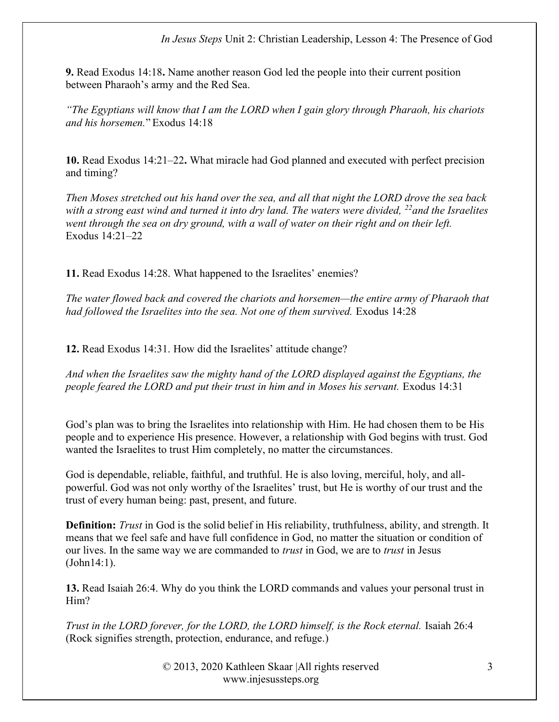9. Read Exodus 14:18. Name another reason God led the people into their current position between Pharaoh's army and the Red Sea.

"The Egyptians will know that I am the LORD when I gain glory through Pharaoh, his chariots and his horsemen." Exodus 14:18

10. Read Exodus 14:21–22. What miracle had God planned and executed with perfect precision and timing?

Then Moses stretched out his hand over the sea, and all that night the LORD drove the sea back with a strong east wind and turned it into dry land. The waters were divided,  $^{22}$  and the Israelites went through the sea on dry ground, with a wall of water on their right and on their left. Exodus 14:21–22

11. Read Exodus 14:28. What happened to the Israelites' enemies?

The water flowed back and covered the chariots and horsemen—the entire army of Pharaoh that had followed the Israelites into the sea. Not one of them survived. Exodus 14:28

12. Read Exodus 14:31. How did the Israelites' attitude change?

And when the Israelites saw the mighty hand of the LORD displayed against the Egyptians, the people feared the LORD and put their trust in him and in Moses his servant. Exodus 14:31

God's plan was to bring the Israelites into relationship with Him. He had chosen them to be His people and to experience His presence. However, a relationship with God begins with trust. God wanted the Israelites to trust Him completely, no matter the circumstances.

God is dependable, reliable, faithful, and truthful. He is also loving, merciful, holy, and allpowerful. God was not only worthy of the Israelites' trust, but He is worthy of our trust and the trust of every human being: past, present, and future.

**Definition:** Trust in God is the solid belief in His reliability, truthfulness, ability, and strength. It means that we feel safe and have full confidence in God, no matter the situation or condition of our lives. In the same way we are commanded to *trust* in God, we are to *trust* in Jesus (John14:1).

13. Read Isaiah 26:4. Why do you think the LORD commands and values your personal trust in Him?

Trust in the LORD forever, for the LORD, the LORD himself, is the Rock eternal. Isaiah 26:4 (Rock signifies strength, protection, endurance, and refuge.)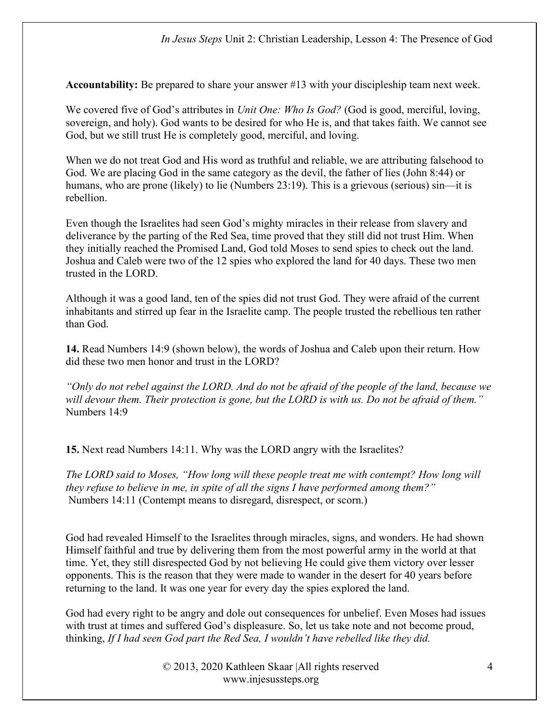Accountability: Be prepared to share your answer #13 with your discipleship team next week.

We covered five of God's attributes in *Unit One: Who Is God?* (God is good, merciful, loving, sovereign, and holy). God wants to be desired for who He is, and that takes faith. We cannot see God, but we still trust He is completely good, merciful, and loving.

When we do not treat God and His word as truthful and reliable, we are attributing falsehood to God. We are placing God in the same category as the devil, the father of lies (John 8:44) or humans, who are prone (likely) to lie (Numbers 23:19). This is a grievous (serious) sin—it is rebellion.

Even though the Israelites had seen God's mighty miracles in their release from slavery and deliverance by the parting of the Red Sea, time proved that they still did not trust Him. When they initially reached the Promised Land, God told Moses to send spies to check out the land. Joshua and Caleb were two of the 12 spies who explored the land for 40 days. These two men trusted in the LORD.

Although it was a good land, ten of the spies did not trust God. They were afraid of the current inhabitants and stirred up fear in the Israelite camp. The people trusted the rebellious ten rather than God.

14. Read Numbers 14:9 (shown below), the words of Joshua and Caleb upon their return. How did these two men honor and trust in the LORD?

"Only do not rebel against the LORD. And do not be afraid of the people of the land, because we will devour them. Their protection is gone, but the LORD is with us. Do not be afraid of them." Numbers 14:9

15. Next read Numbers 14:11. Why was the LORD angry with the Israelites?

The LORD said to Moses, "How long will these people treat me with contempt? How long will they refuse to believe in me, in spite of all the signs I have performed among them?" Numbers 14:11 (Contempt means to disregard, disrespect, or scorn.)

God had revealed Himself to the Israelites through miracles, signs, and wonders. He had shown Himself faithful and true by delivering them from the most powerful army in the world at that time. Yet, they still disrespected God by not believing He could give them victory over lesser opponents. This is the reason that they were made to wander in the desert for 40 years before returning to the land. It was one year for every day the spies explored the land.

God had every right to be angry and dole out consequences for unbelief. Even Moses had issues with trust at times and suffered God's displeasure. So, let us take note and not become proud, thinking, If I had seen God part the Red Sea, I wouldn't have rebelled like they did.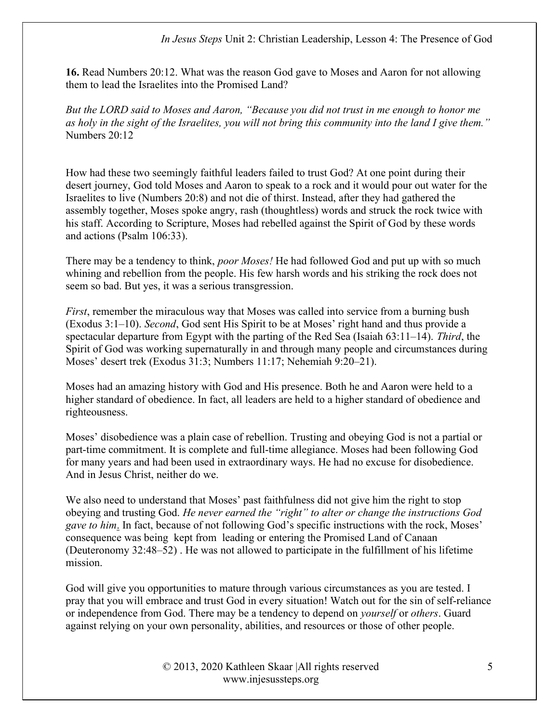#### In Jesus Steps Unit 2: Christian Leadership, Lesson 4: The Presence of God

16. Read Numbers 20:12. What was the reason God gave to Moses and Aaron for not allowing them to lead the Israelites into the Promised Land?

But the LORD said to Moses and Aaron, "Because you did not trust in me enough to honor me as holy in the sight of the Israelites, you will not bring this community into the land I give them." Numbers 20:12

How had these two seemingly faithful leaders failed to trust God? At one point during their desert journey, God told Moses and Aaron to speak to a rock and it would pour out water for the Israelites to live (Numbers 20:8) and not die of thirst. Instead, after they had gathered the assembly together, Moses spoke angry, rash (thoughtless) words and struck the rock twice with his staff. According to Scripture, Moses had rebelled against the Spirit of God by these words and actions (Psalm 106:33).

There may be a tendency to think, *poor Moses!* He had followed God and put up with so much whining and rebellion from the people. His few harsh words and his striking the rock does not seem so bad. But yes, it was a serious transgression.

First, remember the miraculous way that Moses was called into service from a burning bush (Exodus 3:1–10). Second, God sent His Spirit to be at Moses' right hand and thus provide a spectacular departure from Egypt with the parting of the Red Sea (Isaiah  $63:11-14$ ). Third, the Spirit of God was working supernaturally in and through many people and circumstances during Moses' desert trek (Exodus 31:3; Numbers 11:17; Nehemiah 9:20–21).

Moses had an amazing history with God and His presence. Both he and Aaron were held to a higher standard of obedience. In fact, all leaders are held to a higher standard of obedience and righteousness.

Moses' disobedience was a plain case of rebellion. Trusting and obeying God is not a partial or part-time commitment. It is complete and full-time allegiance. Moses had been following God for many years and had been used in extraordinary ways. He had no excuse for disobedience. And in Jesus Christ, neither do we.

We also need to understand that Moses' past faithfulness did not give him the right to stop obeying and trusting God. He never earned the "right" to alter or change the instructions God gave to him. In fact, because of not following God's specific instructions with the rock, Moses' consequence was being kept from leading or entering the Promised Land of Canaan (Deuteronomy 32:48–52) . He was not allowed to participate in the fulfillment of his lifetime mission.

God will give you opportunities to mature through various circumstances as you are tested. I pray that you will embrace and trust God in every situation! Watch out for the sin of self-reliance or independence from God. There may be a tendency to depend on yourself or others. Guard against relying on your own personality, abilities, and resources or those of other people.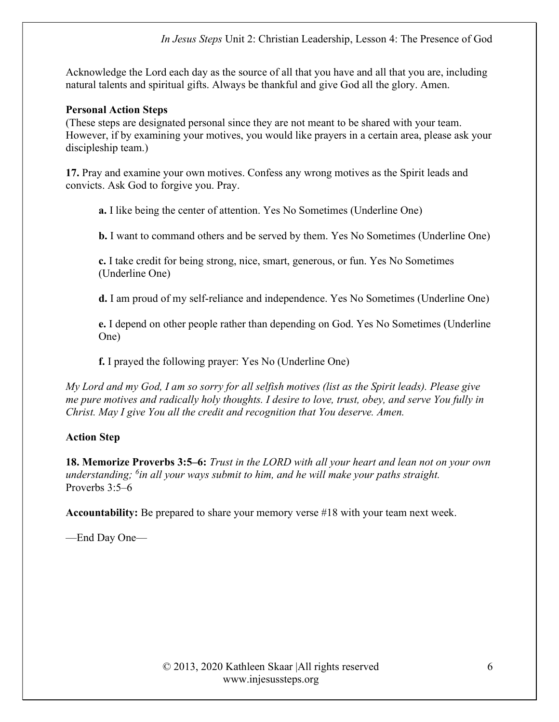Acknowledge the Lord each day as the source of all that you have and all that you are, including natural talents and spiritual gifts. Always be thankful and give God all the glory. Amen.

#### Personal Action Steps

(These steps are designated personal since they are not meant to be shared with your team. However, if by examining your motives, you would like prayers in a certain area, please ask your discipleship team.)

17. Pray and examine your own motives. Confess any wrong motives as the Spirit leads and convicts. Ask God to forgive you. Pray.

a. I like being the center of attention. Yes No Sometimes (Underline One)

b. I want to command others and be served by them. Yes No Sometimes (Underline One)

c. I take credit for being strong, nice, smart, generous, or fun. Yes No Sometimes (Underline One)

d. I am proud of my self-reliance and independence. Yes No Sometimes (Underline One)

e. I depend on other people rather than depending on God. Yes No Sometimes (Underline One)

f. I prayed the following prayer: Yes No (Underline One)

My Lord and my God, I am so sorry for all selfish motives (list as the Spirit leads). Please give me pure motives and radically holy thoughts. I desire to love, trust, obey, and serve You fully in Christ. May I give You all the credit and recognition that You deserve. Amen.

### Action Step

18. Memorize Proverbs 3:5–6: Trust in the LORD with all your heart and lean not on your own understanding; <sup>6</sup>in all your ways submit to him, and he will make your paths straight. Proverbs 3:5–6

Accountability: Be prepared to share your memory verse #18 with your team next week.

—End Day One—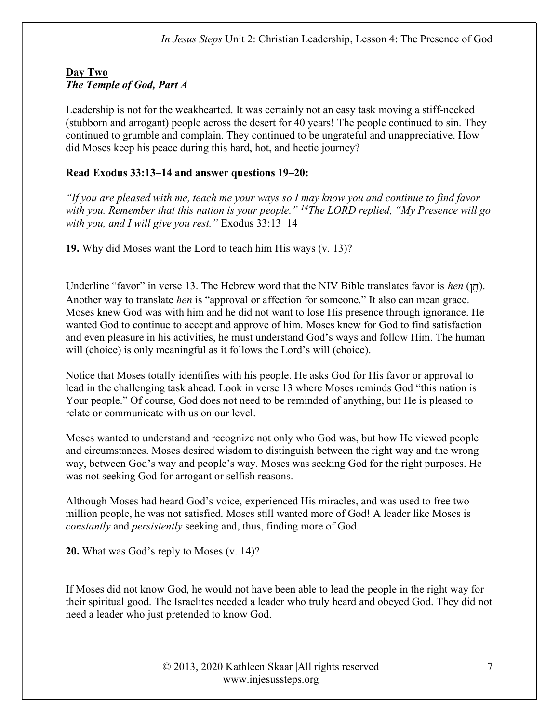### Day Two The Temple of God, Part A

Leadership is not for the weakhearted. It was certainly not an easy task moving a stiff-necked (stubborn and arrogant) people across the desert for 40 years! The people continued to sin. They continued to grumble and complain. They continued to be ungrateful and unappreciative. How did Moses keep his peace during this hard, hot, and hectic journey?

## Read Exodus 33:13–14 and answer questions 19–20:

"If you are pleased with me, teach me your ways so I may know you and continue to find favor with you. Remember that this nation is your people." <sup>14</sup>The LORD replied, "My Presence will go with you, and I will give you rest." Exodus 33:13-14

19. Why did Moses want the Lord to teach him His ways (v. 13)?

Underline "favor" in verse 13. The Hebrew word that the NIV Bible translates favor is *hen* ( $\uparrow \uparrow$ ). Another way to translate *hen* is "approval or affection for someone." It also can mean grace. Moses knew God was with him and he did not want to lose His presence through ignorance. He wanted God to continue to accept and approve of him. Moses knew for God to find satisfaction and even pleasure in his activities, he must understand God's ways and follow Him. The human will (choice) is only meaningful as it follows the Lord's will (choice).

Notice that Moses totally identifies with his people. He asks God for His favor or approval to lead in the challenging task ahead. Look in verse 13 where Moses reminds God "this nation is Your people." Of course, God does not need to be reminded of anything, but He is pleased to relate or communicate with us on our level.

Moses wanted to understand and recognize not only who God was, but how He viewed people and circumstances. Moses desired wisdom to distinguish between the right way and the wrong way, between God's way and people's way. Moses was seeking God for the right purposes. He was not seeking God for arrogant or selfish reasons.

Although Moses had heard God's voice, experienced His miracles, and was used to free two million people, he was not satisfied. Moses still wanted more of God! A leader like Moses is constantly and persistently seeking and, thus, finding more of God.

20. What was God's reply to Moses (v. 14)?

If Moses did not know God, he would not have been able to lead the people in the right way for their spiritual good. The Israelites needed a leader who truly heard and obeyed God. They did not need a leader who just pretended to know God.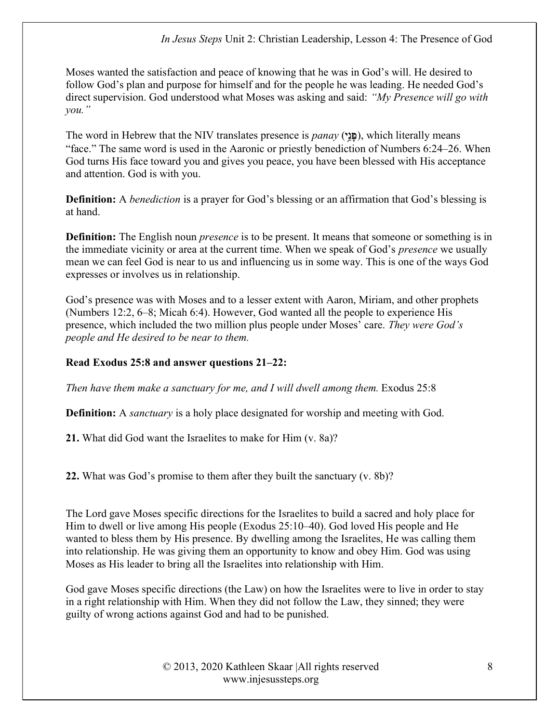Moses wanted the satisfaction and peace of knowing that he was in God's will. He desired to follow God's plan and purpose for himself and for the people he was leading. He needed God's direct supervision. God understood what Moses was asking and said: "My Presence will go with you."

The word in Hebrew that the NIV translates presence is *panay* (**all**), which literally means "face." The same word is used in the Aaronic or priestly benediction of Numbers 6:24–26. When God turns His face toward you and gives you peace, you have been blessed with His acceptance and attention. God is with you.

Definition: A *benediction* is a prayer for God's blessing or an affirmation that God's blessing is at hand.

**Definition:** The English noun *presence* is to be present. It means that someone or something is in the immediate vicinity or area at the current time. When we speak of God's *presence* we usually mean we can feel God is near to us and influencing us in some way. This is one of the ways God expresses or involves us in relationship.

God's presence was with Moses and to a lesser extent with Aaron, Miriam, and other prophets (Numbers 12:2, 6–8; Micah 6:4). However, God wanted all the people to experience His presence, which included the two million plus people under Moses' care. They were God's people and He desired to be near to them.

### Read Exodus 25:8 and answer questions 21–22:

Then have them make a sanctuary for me, and I will dwell among them. Exodus 25:8

**Definition:** A *sanctuary* is a holy place designated for worship and meeting with God.

21. What did God want the Israelites to make for Him (v. 8a)?

22. What was God's promise to them after they built the sanctuary (v. 8b)?

The Lord gave Moses specific directions for the Israelites to build a sacred and holy place for Him to dwell or live among His people (Exodus 25:10–40). God loved His people and He wanted to bless them by His presence. By dwelling among the Israelites, He was calling them into relationship. He was giving them an opportunity to know and obey Him. God was using Moses as His leader to bring all the Israelites into relationship with Him.

God gave Moses specific directions (the Law) on how the Israelites were to live in order to stay in a right relationship with Him. When they did not follow the Law, they sinned; they were guilty of wrong actions against God and had to be punished.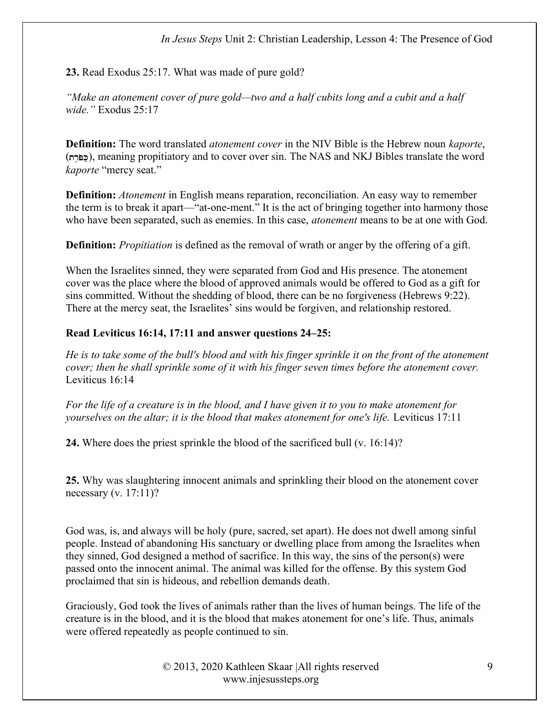23. Read Exodus 25:17. What was made of pure gold?

"Make an atonement cover of pure gold—two and a half cubits long and a cubit and a half wide." Exodus 25:17

**Definition:** The word translated *atonement cover* in the NIV Bible is the Hebrew noun *kaporte*, (כּפּרה), meaning propitiatory and to cover over sin. The NAS and NKJ Bibles translate the word kaporte "mercy seat."

**Definition:** Atonement in English means reparation, reconciliation. An easy way to remember the term is to break it apart—"at-one-ment." It is the act of bringing together into harmony those who have been separated, such as enemies. In this case, *atonement* means to be at one with God.

**Definition:** *Propitiation* is defined as the removal of wrath or anger by the offering of a gift.

When the Israelites sinned, they were separated from God and His presence. The atonement cover was the place where the blood of approved animals would be offered to God as a gift for sins committed. Without the shedding of blood, there can be no forgiveness (Hebrews 9:22). There at the mercy seat, the Israelites' sins would be forgiven, and relationship restored.

## Read Leviticus 16:14, 17:11 and answer questions 24–25:

He is to take some of the bull's blood and with his finger sprinkle it on the front of the atonement cover; then he shall sprinkle some of it with his finger seven times before the atonement cover. Leviticus 16:14

For the life of a creature is in the blood, and I have given it to you to make atonement for yourselves on the altar; it is the blood that makes atonement for one's life. Leviticus 17:11

24. Where does the priest sprinkle the blood of the sacrificed bull (v. 16:14)?

25. Why was slaughtering innocent animals and sprinkling their blood on the atonement cover necessary (v. 17:11)?

God was, is, and always will be holy (pure, sacred, set apart). He does not dwell among sinful people. Instead of abandoning His sanctuary or dwelling place from among the Israelites when they sinned, God designed a method of sacrifice. In this way, the sins of the person(s) were passed onto the innocent animal. The animal was killed for the offense. By this system God proclaimed that sin is hideous, and rebellion demands death.

Graciously, God took the lives of animals rather than the lives of human beings. The life of the creature is in the blood, and it is the blood that makes atonement for one's life. Thus, animals were offered repeatedly as people continued to sin.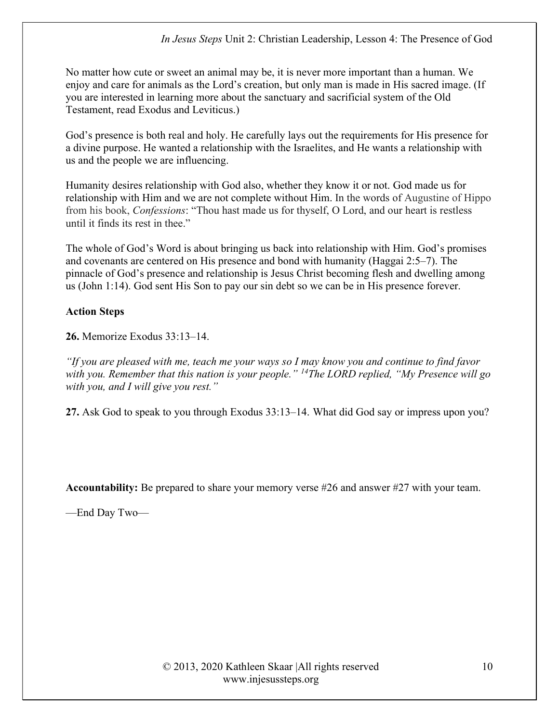No matter how cute or sweet an animal may be, it is never more important than a human. We enjoy and care for animals as the Lord's creation, but only man is made in His sacred image. (If you are interested in learning more about the sanctuary and sacrificial system of the Old Testament, read Exodus and Leviticus.)

God's presence is both real and holy. He carefully lays out the requirements for His presence for a divine purpose. He wanted a relationship with the Israelites, and He wants a relationship with us and the people we are influencing.

Humanity desires relationship with God also, whether they know it or not. God made us for relationship with Him and we are not complete without Him. In the words of Augustine of Hippo from his book, Confessions: "Thou hast made us for thyself, O Lord, and our heart is restless until it finds its rest in thee."

The whole of God's Word is about bringing us back into relationship with Him. God's promises and covenants are centered on His presence and bond with humanity (Haggai 2:5–7). The pinnacle of God's presence and relationship is Jesus Christ becoming flesh and dwelling among us (John 1:14). God sent His Son to pay our sin debt so we can be in His presence forever.

### Action Steps

26. Memorize Exodus 33:13–14.

"If you are pleased with me, teach me your ways so I may know you and continue to find favor with you. Remember that this nation is your people." <sup>14</sup>The LORD replied, "My Presence will go with you, and I will give you rest."

27. Ask God to speak to you through Exodus 33:13–14. What did God say or impress upon you?

Accountability: Be prepared to share your memory verse #26 and answer #27 with your team.

—End Day Two—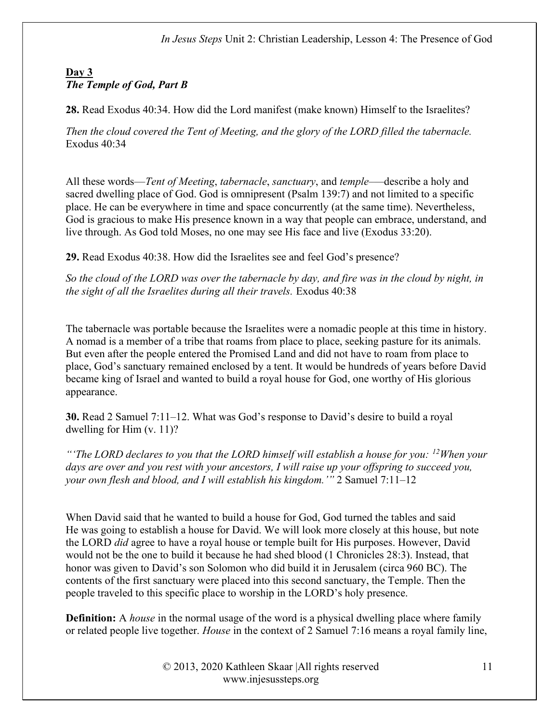## Day 3 The Temple of God, Part B

28. Read Exodus 40:34. How did the Lord manifest (make known) Himself to the Israelites?

Then the cloud covered the Tent of Meeting, and the glory of the LORD filled the tabernacle. Exodus 40:34

All these words—*Tent of Meeting, tabernacle, sanctuary*, and *temple—describe a holy and* sacred dwelling place of God. God is omnipresent (Psalm 139:7) and not limited to a specific place. He can be everywhere in time and space concurrently (at the same time). Nevertheless, God is gracious to make His presence known in a way that people can embrace, understand, and live through. As God told Moses, no one may see His face and live (Exodus 33:20).

29. Read Exodus 40:38. How did the Israelites see and feel God's presence?

So the cloud of the LORD was over the tabernacle by day, and fire was in the cloud by night, in the sight of all the Israelites during all their travels. Exodus 40:38

The tabernacle was portable because the Israelites were a nomadic people at this time in history. A nomad is a member of a tribe that roams from place to place, seeking pasture for its animals. But even after the people entered the Promised Land and did not have to roam from place to place, God's sanctuary remained enclosed by a tent. It would be hundreds of years before David became king of Israel and wanted to build a royal house for God, one worthy of His glorious appearance.

30. Read 2 Samuel 7:11–12. What was God's response to David's desire to build a royal dwelling for Him (v. 11)?

"The LORD declares to you that the LORD himself will establish a house for you:  $^{12}$ When your days are over and you rest with your ancestors, I will raise up your offspring to succeed you, your own flesh and blood, and I will establish his kingdom.'" 2 Samuel 7:11–12

When David said that he wanted to build a house for God, God turned the tables and said He was going to establish a house for David. We will look more closely at this house, but note the LORD *did* agree to have a royal house or temple built for His purposes. However, David would not be the one to build it because he had shed blood (1 Chronicles 28:3). Instead, that honor was given to David's son Solomon who did build it in Jerusalem (circa 960 BC). The contents of the first sanctuary were placed into this second sanctuary, the Temple. Then the people traveled to this specific place to worship in the LORD's holy presence.

**Definition:** A *house* in the normal usage of the word is a physical dwelling place where family or related people live together. House in the context of 2 Samuel 7:16 means a royal family line,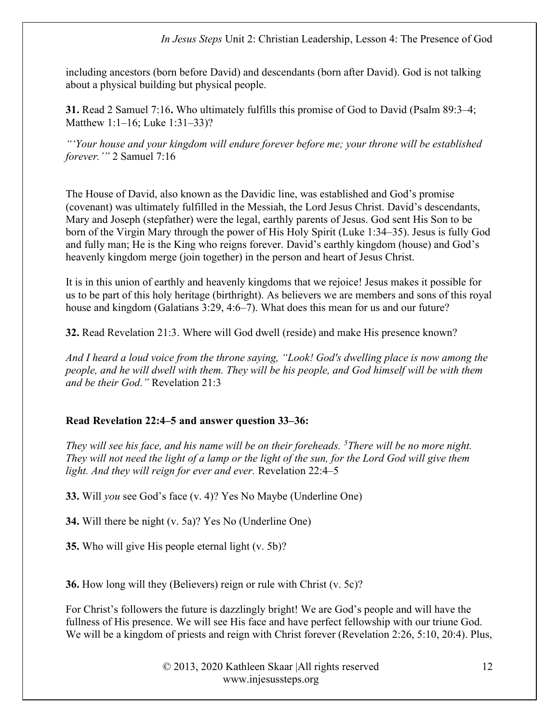In Jesus Steps Unit 2: Christian Leadership, Lesson 4: The Presence of God

including ancestors (born before David) and descendants (born after David). God is not talking about a physical building but physical people.

31. Read 2 Samuel 7:16. Who ultimately fulfills this promise of God to David (Psalm 89:3–4; Matthew 1:1–16; Luke 1:31–33)?

"'Your house and your kingdom will endure forever before me; your throne will be established forever.'" 2 Samuel 7:16

The House of David, also known as the Davidic line, was established and God's promise (covenant) was ultimately fulfilled in the Messiah, the Lord Jesus Christ. David's descendants, Mary and Joseph (stepfather) were the legal, earthly parents of Jesus. God sent His Son to be born of the Virgin Mary through the power of His Holy Spirit (Luke 1:34–35). Jesus is fully God and fully man; He is the King who reigns forever. David's earthly kingdom (house) and God's heavenly kingdom merge (join together) in the person and heart of Jesus Christ.

It is in this union of earthly and heavenly kingdoms that we rejoice! Jesus makes it possible for us to be part of this holy heritage (birthright). As believers we are members and sons of this royal house and kingdom (Galatians 3:29, 4:6–7). What does this mean for us and our future?

32. Read Revelation 21:3. Where will God dwell (reside) and make His presence known?

And I heard a loud voice from the throne saying, "Look! God's dwelling place is now among the people, and he will dwell with them. They will be his people, and God himself will be with them and be their God." Revelation 21:3

### Read Revelation 22:4–5 and answer question 33–36:

They will see his face, and his name will be on their foreheads.  $5$ There will be no more night. They will not need the light of a lamp or the light of the sun, for the Lord God will give them light. And they will reign for ever and ever. Revelation 22:4–5

33. Will you see God's face (v. 4)? Yes No Maybe (Underline One)

34. Will there be night (v. 5a)? Yes No (Underline One)

35. Who will give His people eternal light (v. 5b)?

36. How long will they (Believers) reign or rule with Christ (v. 5c)?

For Christ's followers the future is dazzlingly bright! We are God's people and will have the fullness of His presence. We will see His face and have perfect fellowship with our triune God. We will be a kingdom of priests and reign with Christ forever (Revelation 2:26, 5:10, 20:4). Plus,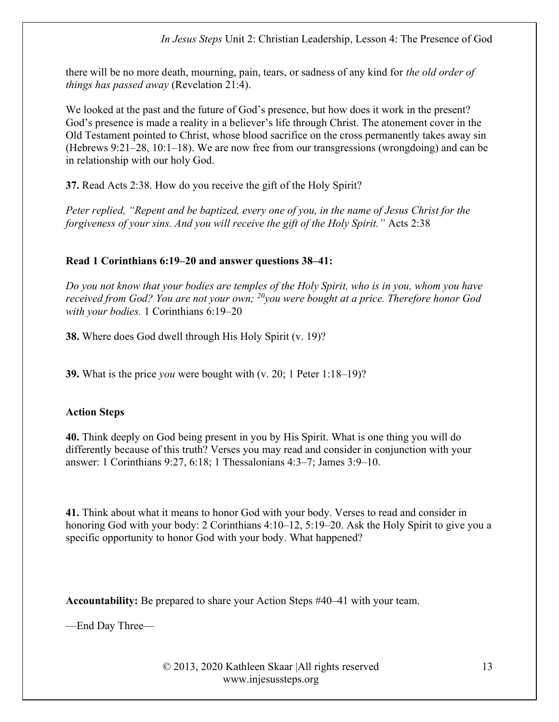there will be no more death, mourning, pain, tears, or sadness of any kind for the old order of things has passed away (Revelation 21:4).

We looked at the past and the future of God's presence, but how does it work in the present? God's presence is made a reality in a believer's life through Christ. The atonement cover in the Old Testament pointed to Christ, whose blood sacrifice on the cross permanently takes away sin (Hebrews 9:21–28, 10:1–18). We are now free from our transgressions (wrongdoing) and can be in relationship with our holy God.

37. Read Acts 2:38. How do you receive the gift of the Holy Spirit?

Peter replied, "Repent and be baptized, every one of you, in the name of Jesus Christ for the forgiveness of your sins. And you will receive the gift of the Holy Spirit." Acts 2:38

## Read 1 Corinthians 6:19–20 and answer questions 38–41:

Do you not know that your bodies are temples of the Holy Spirit, who is in you, whom you have received from God? You are not your own;  $^{20}$ you were bought at a price. Therefore honor God with your bodies. 1 Corinthians 6:19–20

38. Where does God dwell through His Holy Spirit (v. 19)?

**39.** What is the price *you* were bought with  $(v. 20; 1$  Peter  $1:18-19$ ?

### Action Steps

40. Think deeply on God being present in you by His Spirit. What is one thing you will do differently because of this truth? Verses you may read and consider in conjunction with your answer: 1 Corinthians 9:27, 6:18; 1 Thessalonians 4:3–7; James 3:9–10.

41. Think about what it means to honor God with your body. Verses to read and consider in honoring God with your body: 2 Corinthians 4:10–12, 5:19–20. Ask the Holy Spirit to give you a specific opportunity to honor God with your body. What happened?

Accountability: Be prepared to share your Action Steps #40–41 with your team.

—End Day Three—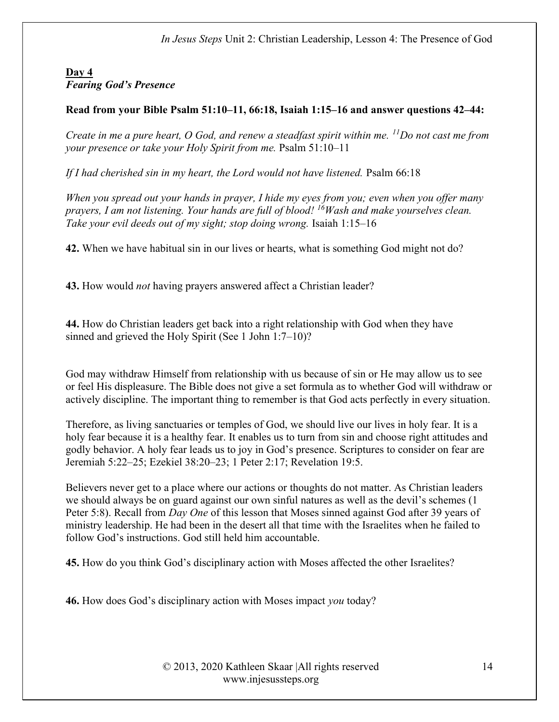## Day 4 Fearing God's Presence

## Read from your Bible Psalm 51:10–11, 66:18, Isaiah 1:15–16 and answer questions 42–44:

Create in me a pure heart, O God, and renew a steadfast spirit within me.  $^{11}$ Do not cast me from your presence or take your Holy Spirit from me. Psalm 51:10–11

If I had cherished sin in my heart, the Lord would not have listened. Psalm 66:18

When you spread out your hands in prayer, I hide my eyes from you; even when you offer many prayers, I am not listening. Your hands are full of blood!  $^{16}$ Wash and make yourselves clean. Take your evil deeds out of my sight; stop doing wrong. Isaiah 1:15–16

42. When we have habitual sin in our lives or hearts, what is something God might not do?

43. How would *not* having prayers answered affect a Christian leader?

44. How do Christian leaders get back into a right relationship with God when they have sinned and grieved the Holy Spirit (See 1 John 1:7–10)?

God may withdraw Himself from relationship with us because of sin or He may allow us to see or feel His displeasure. The Bible does not give a set formula as to whether God will withdraw or actively discipline. The important thing to remember is that God acts perfectly in every situation.

Therefore, as living sanctuaries or temples of God, we should live our lives in holy fear. It is a holy fear because it is a healthy fear. It enables us to turn from sin and choose right attitudes and godly behavior. A holy fear leads us to joy in God's presence. Scriptures to consider on fear are Jeremiah 5:22–25; Ezekiel 38:20–23; 1 Peter 2:17; Revelation 19:5.

Believers never get to a place where our actions or thoughts do not matter. As Christian leaders we should always be on guard against our own sinful natures as well as the devil's schemes (1 Peter 5:8). Recall from *Day One* of this lesson that Moses sinned against God after 39 years of ministry leadership. He had been in the desert all that time with the Israelites when he failed to follow God's instructions. God still held him accountable.

45. How do you think God's disciplinary action with Moses affected the other Israelites?

46. How does God's disciplinary action with Moses impact you today?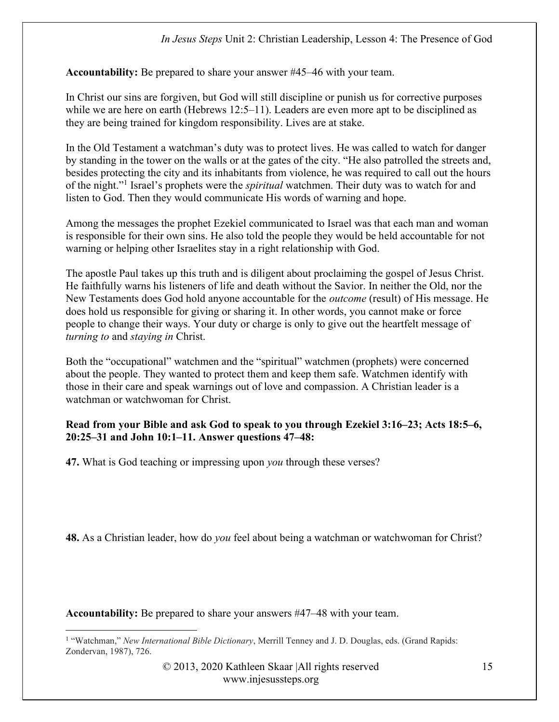Accountability: Be prepared to share your answer #45–46 with your team.

In Christ our sins are forgiven, but God will still discipline or punish us for corrective purposes while we are here on earth (Hebrews 12:5–11). Leaders are even more apt to be disciplined as they are being trained for kingdom responsibility. Lives are at stake.

In the Old Testament a watchman's duty was to protect lives. He was called to watch for danger by standing in the tower on the walls or at the gates of the city. "He also patrolled the streets and, besides protecting the city and its inhabitants from violence, he was required to call out the hours of the night."<sup>1</sup> Israel's prophets were the *spiritual* watchmen. Their duty was to watch for and listen to God. Then they would communicate His words of warning and hope.

Among the messages the prophet Ezekiel communicated to Israel was that each man and woman is responsible for their own sins. He also told the people they would be held accountable for not warning or helping other Israelites stay in a right relationship with God.

The apostle Paul takes up this truth and is diligent about proclaiming the gospel of Jesus Christ. He faithfully warns his listeners of life and death without the Savior. In neither the Old, nor the New Testaments does God hold anyone accountable for the outcome (result) of His message. He does hold us responsible for giving or sharing it. In other words, you cannot make or force people to change their ways. Your duty or charge is only to give out the heartfelt message of turning to and staying in Christ.

Both the "occupational" watchmen and the "spiritual" watchmen (prophets) were concerned about the people. They wanted to protect them and keep them safe. Watchmen identify with those in their care and speak warnings out of love and compassion. A Christian leader is a watchman or watchwoman for Christ.

#### Read from your Bible and ask God to speak to you through Ezekiel 3:16–23; Acts 18:5–6, 20:25–31 and John 10:1–11. Answer questions 47–48:

47. What is God teaching or impressing upon *you* through these verses?

48. As a Christian leader, how do you feel about being a watchman or watchwoman for Christ?

Accountability: Be prepared to share your answers #47–48 with your team.

<sup>&</sup>lt;sup>1</sup> "Watchman," New International Bible Dictionary, Merrill Tenney and J. D. Douglas, eds. (Grand Rapids: Zondervan, 1987), 726.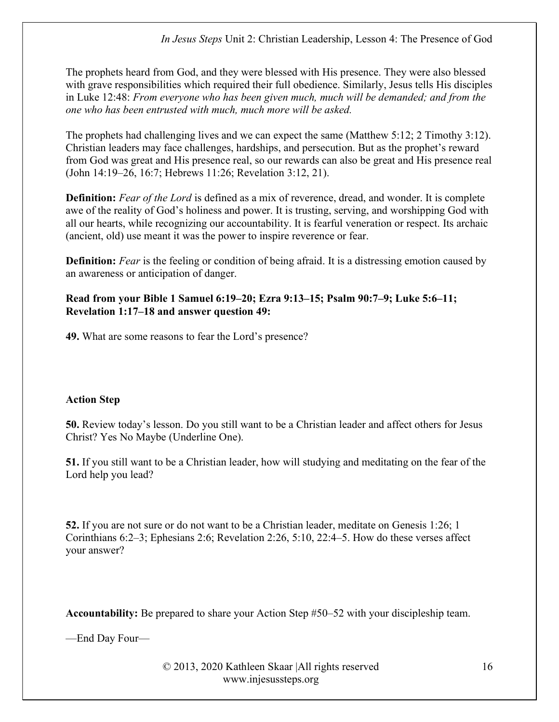The prophets heard from God, and they were blessed with His presence. They were also blessed with grave responsibilities which required their full obedience. Similarly, Jesus tells His disciples in Luke 12:48: From everyone who has been given much, much will be demanded; and from the one who has been entrusted with much, much more will be asked.

The prophets had challenging lives and we can expect the same (Matthew 5:12; 2 Timothy 3:12). Christian leaders may face challenges, hardships, and persecution. But as the prophet's reward from God was great and His presence real, so our rewards can also be great and His presence real (John 14:19–26, 16:7; Hebrews 11:26; Revelation 3:12, 21).

**Definition:** Fear of the Lord is defined as a mix of reverence, dread, and wonder. It is complete awe of the reality of God's holiness and power. It is trusting, serving, and worshipping God with all our hearts, while recognizing our accountability. It is fearful veneration or respect. Its archaic (ancient, old) use meant it was the power to inspire reverence or fear.

Definition: Fear is the feeling or condition of being afraid. It is a distressing emotion caused by an awareness or anticipation of danger.

### Read from your Bible 1 Samuel 6:19–20; Ezra 9:13–15; Psalm 90:7–9; Luke 5:6–11; Revelation 1:17–18 and answer question 49:

49. What are some reasons to fear the Lord's presence?

## Action Step

50. Review today's lesson. Do you still want to be a Christian leader and affect others for Jesus Christ? Yes No Maybe (Underline One).

51. If you still want to be a Christian leader, how will studying and meditating on the fear of the Lord help you lead?

52. If you are not sure or do not want to be a Christian leader, meditate on Genesis 1:26; 1 Corinthians 6:2–3; Ephesians 2:6; Revelation 2:26, 5:10, 22:4–5. How do these verses affect your answer?

Accountability: Be prepared to share your Action Step #50–52 with your discipleship team.

—End Day Four—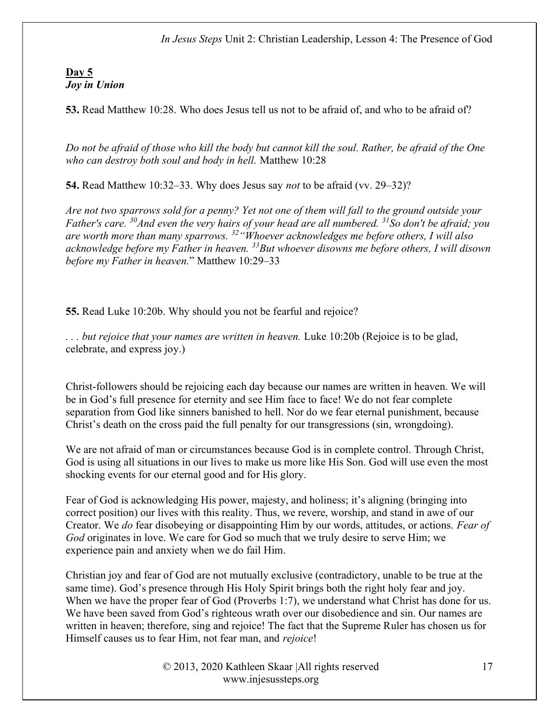In Jesus Steps Unit 2: Christian Leadership, Lesson 4: The Presence of God

#### Day 5 Joy in Union

53. Read Matthew 10:28. Who does Jesus tell us not to be afraid of, and who to be afraid of?

Do not be afraid of those who kill the body but cannot kill the soul. Rather, be afraid of the One who can destroy both soul and body in hell. Matthew 10:28

54. Read Matthew 10:32–33. Why does Jesus say *not* to be afraid (vv. 29–32)?

Are not two sparrows sold for a penny? Yet not one of them will fall to the ground outside your Father's care.  $30$ And even the very hairs of your head are all numbered.  $31$ So don't be afraid; you are worth more than many sparrows.  $32$  "Whoever acknowledges me before others, I will also acknowledge before my Father in heaven.  $33$ But whoever disowns me before others, I will disown before my Father in heaven." Matthew 10:29–33

55. Read Luke 10:20b. Why should you not be fearful and rejoice?

... but rejoice that your names are written in heaven. Luke 10:20b (Rejoice is to be glad, celebrate, and express joy.)

Christ-followers should be rejoicing each day because our names are written in heaven. We will be in God's full presence for eternity and see Him face to face! We do not fear complete separation from God like sinners banished to hell. Nor do we fear eternal punishment, because Christ's death on the cross paid the full penalty for our transgressions (sin, wrongdoing).

We are not afraid of man or circumstances because God is in complete control. Through Christ, God is using all situations in our lives to make us more like His Son. God will use even the most shocking events for our eternal good and for His glory.

Fear of God is acknowledging His power, majesty, and holiness; it's aligning (bringing into correct position) our lives with this reality. Thus, we revere, worship, and stand in awe of our Creator. We do fear disobeying or disappointing Him by our words, attitudes, or actions. Fear of God originates in love. We care for God so much that we truly desire to serve Him; we experience pain and anxiety when we do fail Him.

Christian joy and fear of God are not mutually exclusive (contradictory, unable to be true at the same time). God's presence through His Holy Spirit brings both the right holy fear and joy. When we have the proper fear of God (Proverbs 1:7), we understand what Christ has done for us. We have been saved from God's righteous wrath over our disobedience and sin. Our names are written in heaven; therefore, sing and rejoice! The fact that the Supreme Ruler has chosen us for Himself causes us to fear Him, not fear man, and *rejoice!*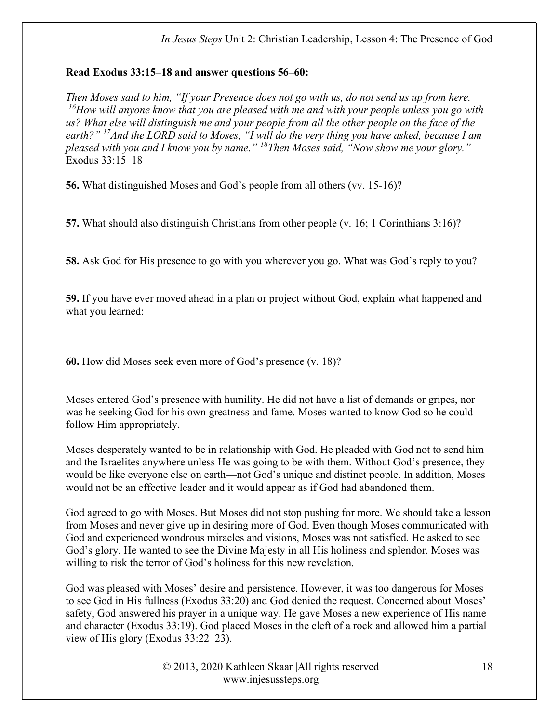### Read Exodus 33:15–18 and answer questions 56–60:

Then Moses said to him, "If your Presence does not go with us, do not send us up from here.  $16$ How will anyone know that you are pleased with me and with your people unless you go with us? What else will distinguish me and your people from all the other people on the face of the earth?" <sup>17</sup>And the LORD said to Moses, "I will do the very thing you have asked, because I am pleased with you and I know you by name."  $18$ Then Moses said, "Now show me your glory." Exodus 33:15–18

56. What distinguished Moses and God's people from all others (vv. 15-16)?

57. What should also distinguish Christians from other people (v. 16; 1 Corinthians 3:16)?

58. Ask God for His presence to go with you wherever you go. What was God's reply to you?

59. If you have ever moved ahead in a plan or project without God, explain what happened and what you learned:

60. How did Moses seek even more of God's presence (v. 18)?

Moses entered God's presence with humility. He did not have a list of demands or gripes, nor was he seeking God for his own greatness and fame. Moses wanted to know God so he could follow Him appropriately.

Moses desperately wanted to be in relationship with God. He pleaded with God not to send him and the Israelites anywhere unless He was going to be with them. Without God's presence, they would be like everyone else on earth—not God's unique and distinct people. In addition, Moses would not be an effective leader and it would appear as if God had abandoned them.

God agreed to go with Moses. But Moses did not stop pushing for more. We should take a lesson from Moses and never give up in desiring more of God. Even though Moses communicated with God and experienced wondrous miracles and visions, Moses was not satisfied. He asked to see God's glory. He wanted to see the Divine Majesty in all His holiness and splendor. Moses was willing to risk the terror of God's holiness for this new revelation.

God was pleased with Moses' desire and persistence. However, it was too dangerous for Moses to see God in His fullness (Exodus 33:20) and God denied the request. Concerned about Moses' safety, God answered his prayer in a unique way. He gave Moses a new experience of His name and character (Exodus 33:19). God placed Moses in the cleft of a rock and allowed him a partial view of His glory (Exodus 33:22–23).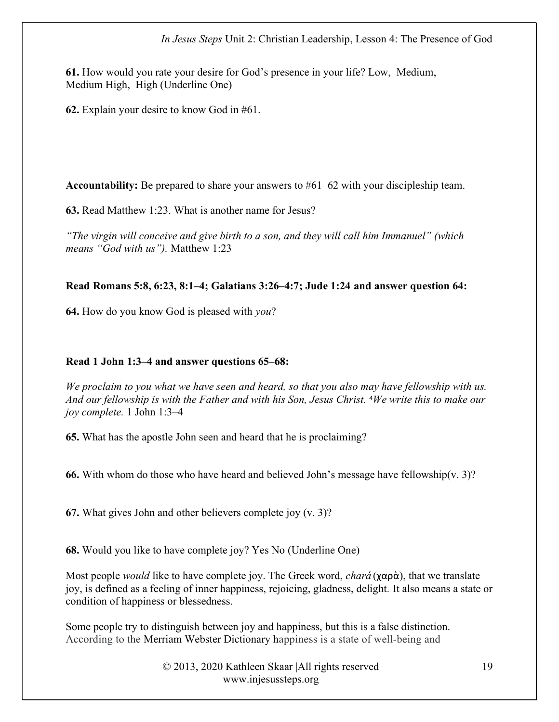61. How would you rate your desire for God's presence in your life? Low, Medium, Medium High, High (Underline One)

62. Explain your desire to know God in #61.

Accountability: Be prepared to share your answers to #61–62 with your discipleship team.

63. Read Matthew 1:23. What is another name for Jesus?

"The virgin will conceive and give birth to a son, and they will call him Immanuel" (which means "God with us"). Matthew 1:23

#### Read Romans 5:8, 6:23, 8:1–4; Galatians 3:26–4:7; Jude 1:24 and answer question 64:

64. How do you know God is pleased with you?

#### Read 1 John 1:3–4 and answer questions 65–68:

We proclaim to you what we have seen and heard, so that you also may have fellowship with us. And our fellowship is with the Father and with his Son, Jesus Christ. <sup>4</sup>We write this to make our joy complete. 1 John 1:3–4

65. What has the apostle John seen and heard that he is proclaiming?

66. With whom do those who have heard and believed John's message have fellowship(v. 3)?

67. What gives John and other believers complete joy (v. 3)?

68. Would you like to have complete joy? Yes No (Underline One)

Most people *would* like to have complete joy. The Greek word, *chará* ( $\chi$ αρὰ), that we translate joy, is defined as a feeling of inner happiness, rejoicing, gladness, delight. It also means a state or condition of happiness or blessedness.

Some people try to distinguish between joy and happiness, but this is a false distinction. According to the Merriam Webster Dictionary happiness is a state of well-being and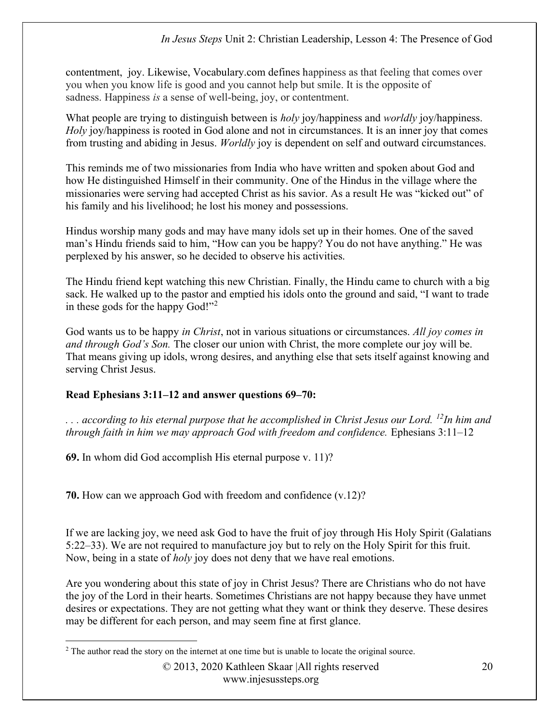contentment, joy. Likewise, Vocabulary.com defines happiness as that feeling that comes over you when you know life is good and you cannot help but smile. It is the opposite of sadness. Happiness is a sense of well-being, joy, or contentment.

What people are trying to distinguish between is *holy* joy/happiness and *worldly* joy/happiness. Holy joy/happiness is rooted in God alone and not in circumstances. It is an inner joy that comes from trusting and abiding in Jesus. Worldly joy is dependent on self and outward circumstances.

This reminds me of two missionaries from India who have written and spoken about God and how He distinguished Himself in their community. One of the Hindus in the village where the missionaries were serving had accepted Christ as his savior. As a result He was "kicked out" of his family and his livelihood; he lost his money and possessions.

Hindus worship many gods and may have many idols set up in their homes. One of the saved man's Hindu friends said to him, "How can you be happy? You do not have anything." He was perplexed by his answer, so he decided to observe his activities.

The Hindu friend kept watching this new Christian. Finally, the Hindu came to church with a big sack. He walked up to the pastor and emptied his idols onto the ground and said, "I want to trade in these gods for the happy God!"<sup>2</sup>

God wants us to be happy *in Christ*, not in various situations or circumstances. All joy comes in and through God's Son. The closer our union with Christ, the more complete our joy will be. That means giving up idols, wrong desires, and anything else that sets itself against knowing and serving Christ Jesus.

### Read Ephesians 3:11–12 and answer questions 69–70:

 $\ldots$  according to his eternal purpose that he accomplished in Christ Jesus our Lord. <sup>12</sup>In him and through faith in him we may approach God with freedom and confidence. Ephesians 3:11–12

69. In whom did God accomplish His eternal purpose v. 11)?

70. How can we approach God with freedom and confidence (v.12)?

If we are lacking joy, we need ask God to have the fruit of joy through His Holy Spirit (Galatians 5:22–33). We are not required to manufacture joy but to rely on the Holy Spirit for this fruit. Now, being in a state of *holy* joy does not deny that we have real emotions.

Are you wondering about this state of joy in Christ Jesus? There are Christians who do not have the joy of the Lord in their hearts. Sometimes Christians are not happy because they have unmet desires or expectations. They are not getting what they want or think they deserve. These desires may be different for each person, and may seem fine at first glance.

<sup>&</sup>lt;sup>2</sup> The author read the story on the internet at one time but is unable to locate the original source.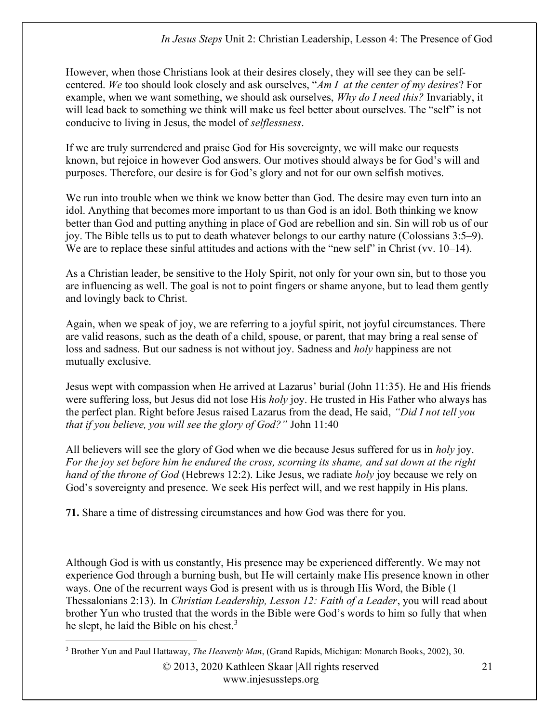However, when those Christians look at their desires closely, they will see they can be selfcentered. We too should look closely and ask ourselves, "Am I at the center of my desires? For example, when we want something, we should ask ourselves, *Why do I need this?* Invariably, it will lead back to something we think will make us feel better about ourselves. The "self" is not conducive to living in Jesus, the model of selflessness.

If we are truly surrendered and praise God for His sovereignty, we will make our requests known, but rejoice in however God answers. Our motives should always be for God's will and purposes. Therefore, our desire is for God's glory and not for our own selfish motives.

We run into trouble when we think we know better than God. The desire may even turn into an idol. Anything that becomes more important to us than God is an idol. Both thinking we know better than God and putting anything in place of God are rebellion and sin. Sin will rob us of our joy. The Bible tells us to put to death whatever belongs to our earthy nature (Colossians 3:5–9). We are to replace these sinful attitudes and actions with the "new self" in Christ (vv. 10–14).

As a Christian leader, be sensitive to the Holy Spirit, not only for your own sin, but to those you are influencing as well. The goal is not to point fingers or shame anyone, but to lead them gently and lovingly back to Christ.

Again, when we speak of joy, we are referring to a joyful spirit, not joyful circumstances. There are valid reasons, such as the death of a child, spouse, or parent, that may bring a real sense of loss and sadness. But our sadness is not without joy. Sadness and *holy* happiness are not mutually exclusive.

Jesus wept with compassion when He arrived at Lazarus' burial (John 11:35). He and His friends were suffering loss, but Jesus did not lose His holy joy. He trusted in His Father who always has the perfect plan. Right before Jesus raised Lazarus from the dead, He said, "Did I not tell you that if you believe, you will see the glory of God?" John 11:40

All believers will see the glory of God when we die because Jesus suffered for us in *holy* joy. For the joy set before him he endured the cross, scorning its shame, and sat down at the right hand of the throne of God (Hebrews 12:2). Like Jesus, we radiate holy joy because we rely on God's sovereignty and presence. We seek His perfect will, and we rest happily in His plans.

71. Share a time of distressing circumstances and how God was there for you.

Although God is with us constantly, His presence may be experienced differently. We may not experience God through a burning bush, but He will certainly make His presence known in other ways. One of the recurrent ways God is present with us is through His Word, the Bible (1 Thessalonians 2:13). In Christian Leadership, Lesson 12: Faith of a Leader, you will read about brother Yun who trusted that the words in the Bible were God's words to him so fully that when he slept, he laid the Bible on his chest. $3$ 

<sup>&</sup>lt;sup>3</sup> Brother Yun and Paul Hattaway, The Heavenly Man, (Grand Rapids, Michigan: Monarch Books, 2002), 30.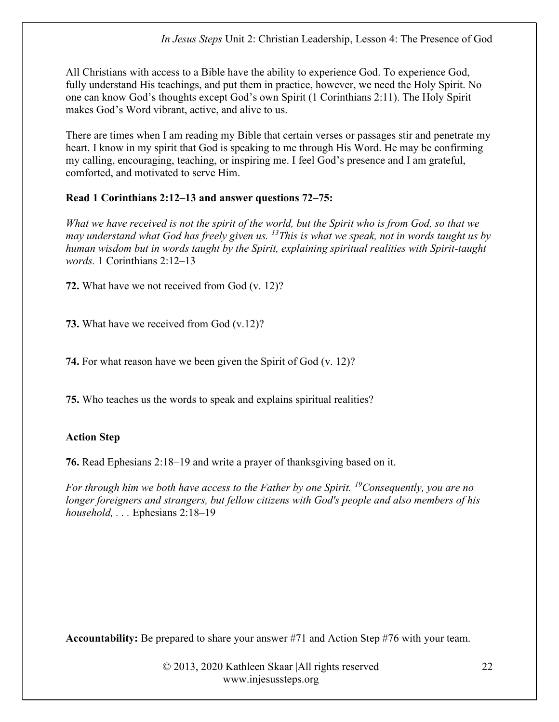All Christians with access to a Bible have the ability to experience God. To experience God, fully understand His teachings, and put them in practice, however, we need the Holy Spirit. No one can know God's thoughts except God's own Spirit (1 Corinthians 2:11). The Holy Spirit makes God's Word vibrant, active, and alive to us.

There are times when I am reading my Bible that certain verses or passages stir and penetrate my heart. I know in my spirit that God is speaking to me through His Word. He may be confirming my calling, encouraging, teaching, or inspiring me. I feel God's presence and I am grateful, comforted, and motivated to serve Him.

## Read 1 Corinthians 2:12–13 and answer questions 72–75:

What we have received is not the spirit of the world, but the Spirit who is from God, so that we may understand what God has freely given us.  $^{13}$ This is what we speak, not in words taught us by human wisdom but in words taught by the Spirit, explaining spiritual realities with Spirit-taught words. 1 Corinthians 2:12–13

72. What have we not received from God (v. 12)?

73. What have we received from God (v.12)?

74. For what reason have we been given the Spirit of God (v. 12)?

75. Who teaches us the words to speak and explains spiritual realities?

## Action Step

76. Read Ephesians 2:18–19 and write a prayer of thanksgiving based on it.

For through him we both have access to the Father by one Spirit. <sup>19</sup>Consequently, you are no longer foreigners and strangers, but fellow citizens with God's people and also members of his household, ... Ephesians 2:18–19

Accountability: Be prepared to share your answer #71 and Action Step #76 with your team.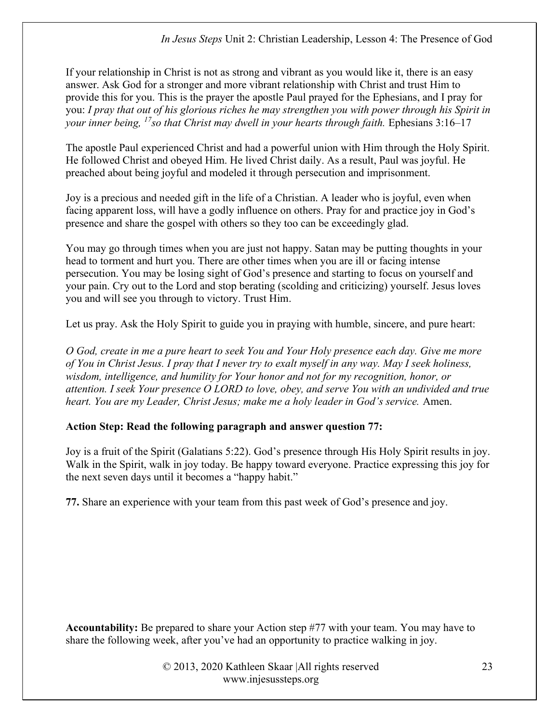If your relationship in Christ is not as strong and vibrant as you would like it, there is an easy answer. Ask God for a stronger and more vibrant relationship with Christ and trust Him to provide this for you. This is the prayer the apostle Paul prayed for the Ephesians, and I pray for you: I pray that out of his glorious riches he may strengthen you with power through his Spirit in your inner being,  $^{17}$ so that Christ may dwell in your hearts through faith. Ephesians 3:16–17

The apostle Paul experienced Christ and had a powerful union with Him through the Holy Spirit. He followed Christ and obeyed Him. He lived Christ daily. As a result, Paul was joyful. He preached about being joyful and modeled it through persecution and imprisonment.

Joy is a precious and needed gift in the life of a Christian. A leader who is joyful, even when facing apparent loss, will have a godly influence on others. Pray for and practice joy in God's presence and share the gospel with others so they too can be exceedingly glad.

You may go through times when you are just not happy. Satan may be putting thoughts in your head to torment and hurt you. There are other times when you are ill or facing intense persecution. You may be losing sight of God's presence and starting to focus on yourself and your pain. Cry out to the Lord and stop berating (scolding and criticizing) yourself. Jesus loves you and will see you through to victory. Trust Him.

Let us pray. Ask the Holy Spirit to guide you in praying with humble, sincere, and pure heart:

O God, create in me a pure heart to seek You and Your Holy presence each day. Give me more of You in Christ Jesus. I pray that I never try to exalt myself in any way. May I seek holiness, wisdom, intelligence, and humility for Your honor and not for my recognition, honor, or attention. I seek Your presence O LORD to love, obey, and serve You with an undivided and true heart. You are my Leader, Christ Jesus; make me a holy leader in God's service. Amen.

## Action Step: Read the following paragraph and answer question 77:

Joy is a fruit of the Spirit (Galatians 5:22). God's presence through His Holy Spirit results in joy. Walk in the Spirit, walk in joy today. Be happy toward everyone. Practice expressing this joy for the next seven days until it becomes a "happy habit."

77. Share an experience with your team from this past week of God's presence and joy.

Accountability: Be prepared to share your Action step #77 with your team. You may have to share the following week, after you've had an opportunity to practice walking in joy.